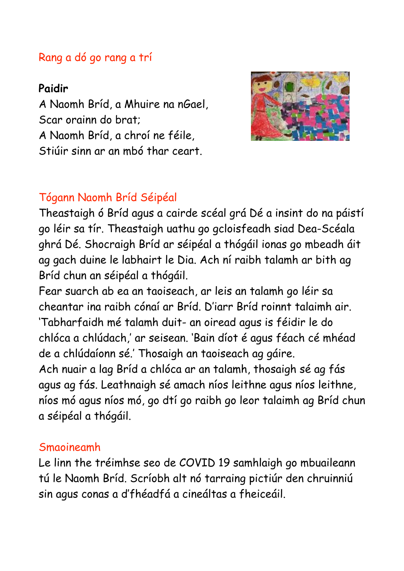## Rang a dó go rang a trí

## **Paidir**

A Naomh Bríd, a Mhuire na nGael, Scar orainn do brat; A Naomh Bríd, a chroí ne féile, Stiúir sinn ar an mbó thar ceart.



## Tógann Naomh Bríd Séipéal

Theastaigh ó Bríd agus a cairde scéal grá Dé a insint do na páistí go léir sa tír. Theastaigh uathu go gcloisfeadh siad Dea-Scéala ghrá Dé. Shocraigh Bríd ar séipéal a thógáil ionas go mbeadh áit ag gach duine le labhairt le Dia. Ach ní raibh talamh ar bith ag Bríd chun an séipéal a thógáil.

Fear suarch ab ea an taoiseach, ar leis an talamh go léir sa cheantar ina raibh cónaí ar Bríd. D'iarr Bríd roinnt talaimh air. 'Tabharfaidh mé talamh duit- an oiread agus is féidir le do chlóca a chlúdach,' ar seisean. 'Bain díot é agus féach cé mhéad de a chlúdaíonn sé.' Thosaigh an taoiseach ag gáire. Ach nuair a lag Bríd a chlóca ar an talamh, thosaigh sé ag fás agus ag fás. Leathnaigh sé amach níos leithne agus níos leithne, níos mó agus níos mó, go dtí go raibh go leor talaimh ag Bríd chun a séipéal a thógáil.

## Smaoineamh

Le linn the tréimhse seo de COVID 19 samhlaigh go mbuaileann tú le Naomh Bríd. Scríobh alt nó tarraing pictiúr den chruinniú sin agus conas a d'fhéadfá a cineáltas a fheiceáil.